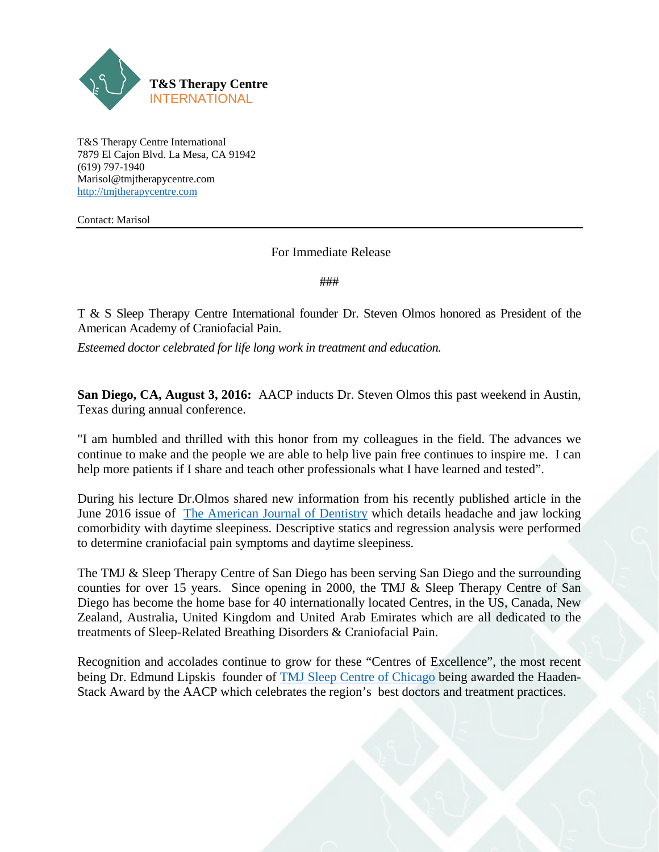

T&S Therapy Centre International 7879 El Cajon Blvd. La Mesa, CA 91942 (619) 797-1940 Marisol@tmjtherapycentre.com [http://tmjtherapycentre.com](http://tmjtherapycentre.com/)

Contact: Marisol

For Immediate Release

###

T & S Sleep Therapy Centre International founder Dr. Steven Olmos honored as President of the American Academy of Craniofacial Pain.

*Esteemed doctor celebrated for life long work in treatment and education.*

**San Diego, CA, August 3, 2016:** AACP inducts Dr. Steven Olmos this past weekend in Austin, Texas during annual conference.

"I am humbled and thrilled with this honor from my colleagues in the field. The advances we continue to make and the people we are able to help live pain free continues to inspire me. I can help more patients if I share and teach other professionals what I have learned and tested".

During his lecture Dr.Olmos shared new information from his recently published article in the June 2016 issue of [The American Journal of Dentistry](http://www.amjdent.com/Archive/Abstracts/2016/June%202016%20Abstracts.html#Olmos) which details headache and jaw locking comorbidity with daytime sleepiness. Descriptive statics and regression analysis were performed to determine craniofacial pain symptoms and daytime sleepiness.

The TMJ & Sleep Therapy Centre of San Diego has been serving San Diego and the surrounding counties for over 15 years. Since opening in 2000, the TMJ & Sleep Therapy Centre of San Diego has become the home base for 40 internationally located Centres, in the US, Canada, New Zealand, Australia, United Kingdom and United Arab Emirates which are all dedicated to the treatments of Sleep-Related Breathing Disorders & Craniofacial Pain.

Recognition and accolades continue to grow for these "Centres of Excellence", the most recent being Dr. Edmund Lipskis founder of [TMJ Sleep Centre of Chicago](http://www.tmjandsleeptherapycentreofchicago.com/) being awarded the Haaden-Stack Award by the AACP which celebrates the region's best doctors and treatment practices.